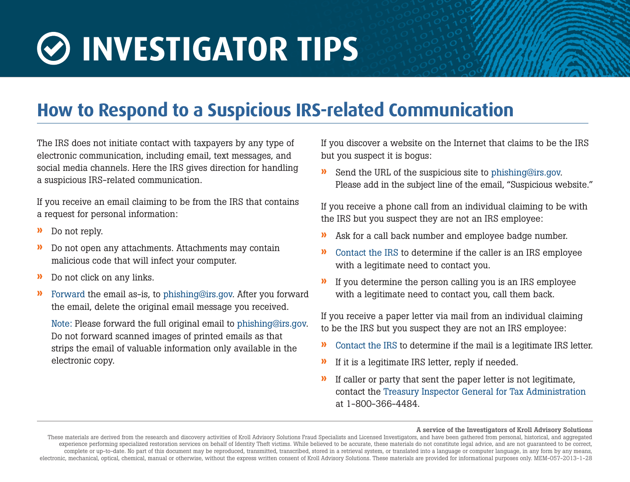## **INVESTIGATOR TIPS**

## **How to Respond to a Suspicious IRS-related Communication**

The IRS does not initiate contact with taxpayers by any type of electronic communication, including email, text messages, and social media channels. Here the IRS gives direction for handling a suspicious IRS-related communication.

If you receive an email claiming to be from the IRS that contains a request for personal information:

- » Do not reply.
- » Do not open any attachments. Attachments may contain malicious code that will infect your computer.
- » Do not click on any links.
- » [Forward](http://www.irs.gov/uac/How-to-Forward-the-Header-of-a-Phishing-Email) the email as-is, to phishing@irs.gov. After you forward the email, delete the original email message you received.

Note: Please forward the full original email to phishing@irs.gov. Do not forward scanned images of printed emails as that strips the email of valuable information only available in the electronic copy.

If you discover a website on the Internet that claims to be the IRS but you suspect it is bogus:

» Send the URL of the suspicious site to phishing@irs.gov. Please add in the subject line of the email, "Suspicious website."

If you receive a phone call from an individual claiming to be with the IRS but you suspect they are not an IRS employee:

- » Ask for a call back number and employee badge number.
- » [Contact the IRS](http://www.irs.gov/uac/How-to-Contact-the-IRS-1) to determine if the caller is an IRS employee with a legitimate need to contact you.
- » If you determine the person calling you is an IRS employee with a legitimate need to contact you, call them back.

If you receive a paper letter via mail from an individual claiming to be the IRS but you suspect they are not an IRS employee:

- » [Contact the IRS](http://www.irs.gov/uac/How-to-Contact-the-IRS-1) to determine if the mail is a legitimate IRS letter.
- » If it is a legitimate IRS letter, reply if needed.
- » If caller or party that sent the paper letter is not legitimate, contact the [Treasury Inspector General for Tax Administration](http://www.ustreas.gov/tigta/contact_report.shtml) at 1-800-366-4484.

## A service of the Investigators of Kroll Advisory Solutions

These materials are derived from the research and discovery activities of Kroll Advisory Solutions Fraud Specialists and Licensed Investigators, and have been gathered from personal, historical, and aggregated experience performing specialized restoration services on behalf of Identity Theft victims. While believed to be accurate, these materials do not constitute legal advice, and are not guaranteed to be correct, complete or up-to-date. No part of this document may be reproduced, transmitted, transcribed, stored in a retrieval system, or translated into a language or computer language, in any form by any means, electronic, mechanical, optical, chemical, manual or otherwise, without the express written consent of Kroll Advisory Solutions. These materials are provided for informational purposes only. MEM-057-2013-1-28